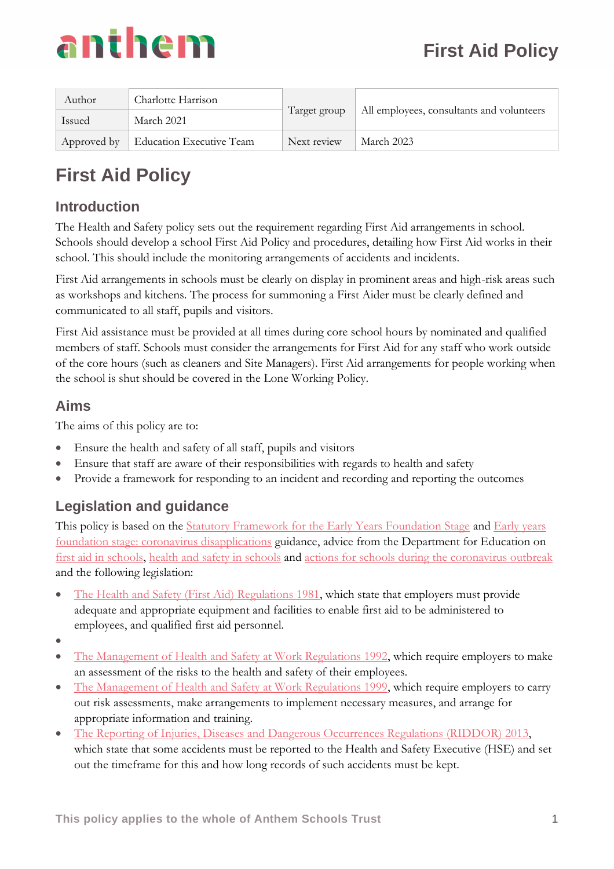

| Author | Charlotte Harrison                   |              |                                           |  |
|--------|--------------------------------------|--------------|-------------------------------------------|--|
| Issued | March 2021                           | Target group | All employees, consultants and volunteers |  |
|        | Approved by Education Executive Team | Next review  | March 2023                                |  |

# **First Aid Policy**

# **Introduction**

The Health and Safety policy sets out the requirement regarding First Aid arrangements in school. Schools should develop a school First Aid Policy and procedures, detailing how First Aid works in their school. This should include the monitoring arrangements of accidents and incidents.

First Aid arrangements in schools must be clearly on display in prominent areas and high-risk areas such as workshops and kitchens. The process for summoning a First Aider must be clearly defined and communicated to all staff, pupils and visitors.

First Aid assistance must be provided at all times during core school hours by nominated and qualified members of staff. Schools must consider the arrangements for First Aid for any staff who work outside of the core hours (such as cleaners and Site Managers). First Aid arrangements for people working when the school is shut should be covered in the Lone Working Policy.

# **Aims**

The aims of this policy are to:

- Ensure the health and safety of all staff, pupils and visitors
- Ensure that staff are aware of their responsibilities with regards to health and safety
- Provide a framework for responding to an incident and recording and reporting the outcomes

# **Legislation and guidance**

This policy is based on the [Statutory Framework for the Early Years Foundation Stage](https://www.gov.uk/government/uploads/system/uploads/attachment_data/file/596629/EYFS_STATUTORY_FRAMEWORK_2017.pdf) and Early years [foundation stage: coronavirus disapplications](https://www.gov.uk/government/publications/early-years-foundation-stage-framework--2/early-years-foundation-stage-coronavirus-disapplications) guidance, advice from the Department for Education on [first aid in schools,](https://www.gov.uk/government/publications/first-aid-in-schools) [health and safety in schools](https://www.gov.uk/government/publications/health-and-safety-advice-for-schools) and [actions for schools during the coronavirus outbreak](https://www.gov.uk/government/publications/actions-for-schools-during-the-coronavirus-outbreak) and the following legislation:

- [The Health and Safety \(First Aid\) Regulations 1981,](http://www.legislation.gov.uk/uksi/1981/917/regulation/3/made) which state that employers must provide adequate and appropriate equipment and facilities to enable first aid to be administered to employees, and qualified first aid personnel.
- •
- [The Management of Health and Safety at Work Regulations 1992,](http://www.legislation.gov.uk/uksi/1992/2051/regulation/3/made) which require employers to make an assessment of the risks to the health and safety of their employees.
- [The Management of Health and Safety at Work Regulations 1999,](http://www.legislation.gov.uk/uksi/1999/3242/contents/made) which require employers to carry out risk assessments, make arrangements to implement necessary measures, and arrange for appropriate information and training.
- [The Reporting of Injuries, Diseases and Dangerous Occurrences Regulations \(RIDDOR\) 2013,](http://www.legislation.gov.uk/uksi/2013/1471/schedule/1/paragraph/1/made) which state that some accidents must be reported to the Health and Safety Executive (HSE) and set out the timeframe for this and how long records of such accidents must be kept.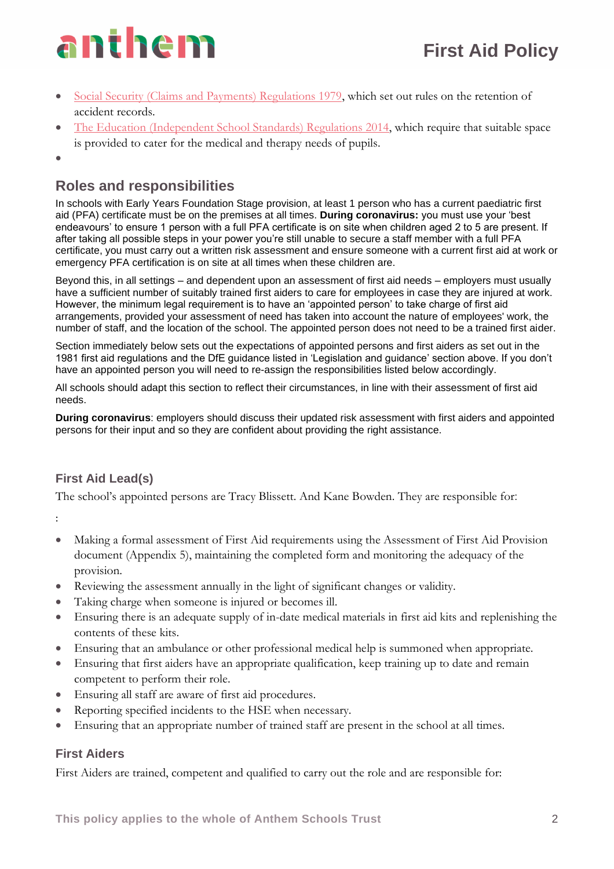- Social Security [\(Claims and Payments\) Regulations 1979,](http://www.legislation.gov.uk/uksi/1979/628) which set out rules on the retention of accident records.
- [The Education \(Independent School Standards\) Regulations 2014,](http://www.legislation.gov.uk/uksi/2014/3283/schedule/made) which require that suitable space is provided to cater for the medical and therapy needs of pupils.
- •

# **Roles and responsibilities**

In schools with Early Years Foundation Stage provision, at least 1 person who has a current paediatric first aid (PFA) certificate must be on the premises at all times. **During coronavirus:** you must use your 'best endeavours' to ensure 1 person with a full PFA certificate is on site when children aged 2 to 5 are present. If after taking all possible steps in your power you're still unable to secure a staff member with a full PFA certificate, you must carry out a written risk assessment and ensure someone with a current first aid at work or emergency PFA certification is on site at all times when these children are.

Beyond this, in all settings – and dependent upon an assessment of first aid needs – employers must usually have a sufficient number of suitably trained first aiders to care for employees in case they are injured at work. However, the minimum legal requirement is to have an 'appointed person' to take charge of first aid arrangements, provided your assessment of need has taken into account the nature of employees' work, the number of staff, and the location of the school. The appointed person does not need to be a trained first aider.

Section immediately below sets out the expectations of appointed persons and first aiders as set out in the 1981 first aid regulations and the DfE guidance listed in 'Legislation and guidance' section above. If you don't have an appointed person you will need to re-assign the responsibilities listed below accordingly.

All schools should adapt this section to reflect their circumstances, in line with their assessment of first aid needs.

**During coronavirus**: employers should discuss their updated risk assessment with first aiders and appointed persons for their input and so they are confident about providing the right assistance.

# **First Aid Lead(s)**

The school's appointed persons are Tracy Blissett. And Kane Bowden. They are responsible for:

- :
- Making a formal assessment of First Aid requirements using the Assessment of First Aid Provision document (Appendix 5), maintaining the completed form and monitoring the adequacy of the provision.
- Reviewing the assessment annually in the light of significant changes or validity.
- Taking charge when someone is injured or becomes ill.
- Ensuring there is an adequate supply of in-date medical materials in first aid kits and replenishing the contents of these kits.
- Ensuring that an ambulance or other professional medical help is summoned when appropriate.
- Ensuring that first aiders have an appropriate qualification, keep training up to date and remain competent to perform their role.
- Ensuring all staff are aware of first aid procedures.
- Reporting specified incidents to the HSE when necessary.
- Ensuring that an appropriate number of trained staff are present in the school at all times.

# **First Aiders**

First Aiders are trained, competent and qualified to carry out the role and are responsible for: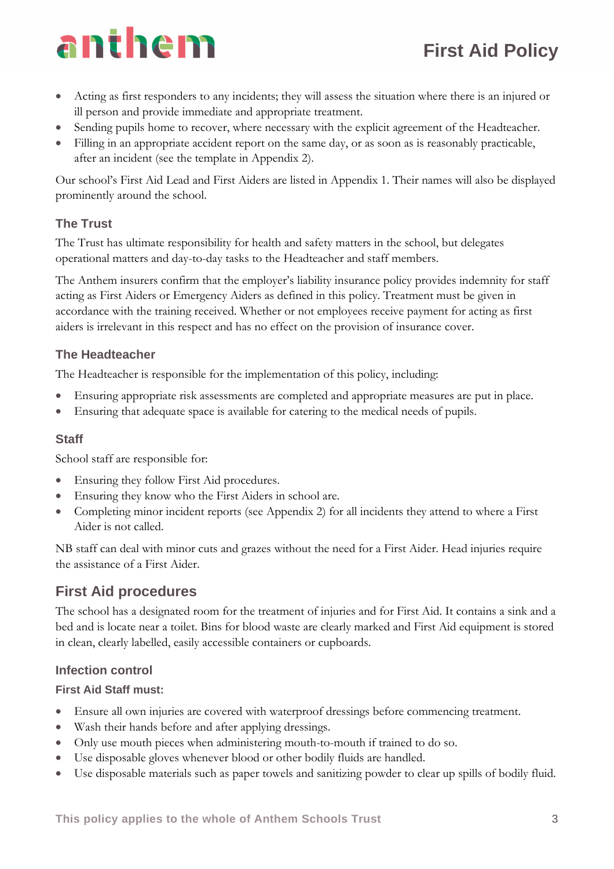- Acting as first responders to any incidents; they will assess the situation where there is an injured or ill person and provide immediate and appropriate treatment.
- Sending pupils home to recover, where necessary with the explicit agreement of the Headteacher.
- Filling in an appropriate accident report on the same day, or as soon as is reasonably practicable, after an incident (see the template in Appendix 2).

Our school's First Aid Lead and First Aiders are listed in Appendix 1. Their names will also be displayed prominently around the school.

# **The Trust**

The Trust has ultimate responsibility for health and safety matters in the school, but delegates operational matters and day-to-day tasks to the Headteacher and staff members.

The Anthem insurers confirm that the employer's liability insurance policy provides indemnity for staff acting as First Aiders or Emergency Aiders as defined in this policy. Treatment must be given in accordance with the training received. Whether or not employees receive payment for acting as first aiders is irrelevant in this respect and has no effect on the provision of insurance cover.

## **The Headteacher**

The Headteacher is responsible for the implementation of this policy, including:

- Ensuring appropriate risk assessments are completed and appropriate measures are put in place.
- Ensuring that adequate space is available for catering to the medical needs of pupils.

## **Staff**

School staff are responsible for:

- Ensuring they follow First Aid procedures.
- Ensuring they know who the First Aiders in school are.
- Completing minor incident reports (see Appendix 2) for all incidents they attend to where a First Aider is not called.

NB staff can deal with minor cuts and grazes without the need for a First Aider. Head injuries require the assistance of a First Aider.

# **First Aid procedures**

The school has a designated room for the treatment of injuries and for First Aid. It contains a sink and a bed and is locate near a toilet. Bins for blood waste are clearly marked and First Aid equipment is stored in clean, clearly labelled, easily accessible containers or cupboards.

# **Infection control**

## **First Aid Staff must:**

- Ensure all own injuries are covered with waterproof dressings before commencing treatment.
- Wash their hands before and after applying dressings.
- Only use mouth pieces when administering mouth-to-mouth if trained to do so.
- Use disposable gloves whenever blood or other bodily fluids are handled.
- Use disposable materials such as paper towels and sanitizing powder to clear up spills of bodily fluid.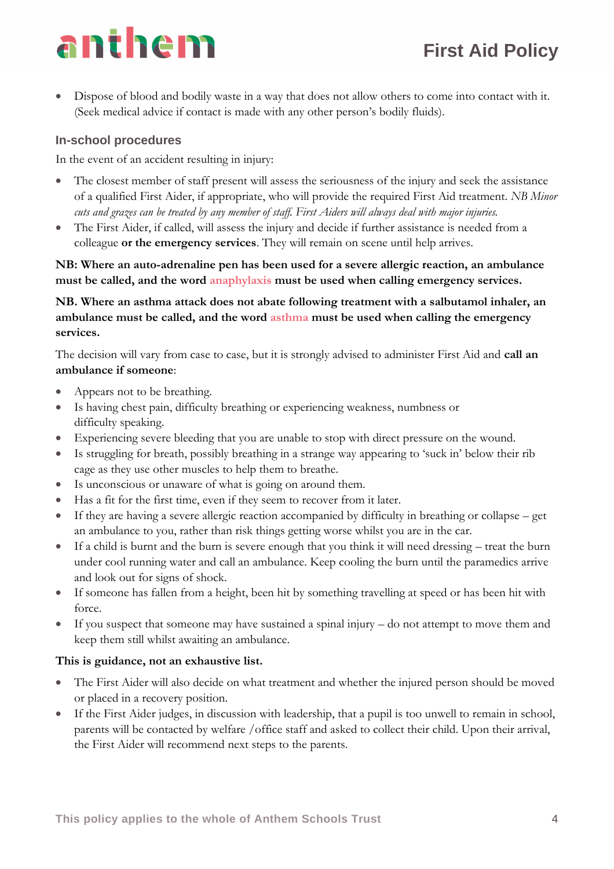• Dispose of blood and bodily waste in a way that does not allow others to come into contact with it. (Seek medical advice if contact is made with any other person's bodily fluids).

# **In-school procedures**

In the event of an accident resulting in injury:

- The closest member of staff present will assess the seriousness of the injury and seek the assistance of a qualified First Aider, if appropriate, who will provide the required First Aid treatment. *NB Minor cuts and grazes can be treated by any member of staff. First Aiders will always deal with major injuries.*
- The First Aider, if called, will assess the injury and decide if further assistance is needed from a colleague **or the emergency services**. They will remain on scene until help arrives.

**NB: Where an auto-adrenaline pen has been used for a severe allergic reaction, an ambulance must be called, and the word anaphylaxis must be used when calling emergency services.**

**NB. Where an asthma attack does not abate following treatment with a salbutamol inhaler, an ambulance must be called, and the word asthma must be used when calling the emergency services.**

The decision will vary from case to case, but it is strongly advised to administer First Aid and **call an ambulance if someone**:

- Appears not to be breathing.
- Is having chest pain, difficulty breathing or experiencing weakness, numbness or difficulty speaking.
- Experiencing severe bleeding that you are unable to stop with direct pressure on the wound.
- Is struggling for breath, possibly breathing in a strange way appearing to 'suck in' below their rib cage as they use other muscles to help them to breathe.
- Is unconscious or unaware of what is going on around them.
- Has a fit for the first time, even if they seem to recover from it later.
- If they are having a severe allergic reaction accompanied by difficulty in breathing or collapse get an ambulance to you, rather than risk things getting worse whilst you are in the car.
- If a child is burnt and the burn is severe enough that you think it will need dressing treat the burn under cool running water and call an ambulance. Keep cooling the burn until the paramedics arrive and look out for signs of shock.
- If someone has fallen from a height, been hit by something travelling at speed or has been hit with force.
- If you suspect that someone may have sustained a spinal injury do not attempt to move them and keep them still whilst awaiting an ambulance.

#### **This is guidance, not an exhaustive list.**

- The First Aider will also decide on what treatment and whether the injured person should be moved or placed in a recovery position.
- If the First Aider judges, in discussion with leadership, that a pupil is too unwell to remain in school, parents will be contacted by welfare /office staff and asked to collect their child. Upon their arrival, the First Aider will recommend next steps to the parents.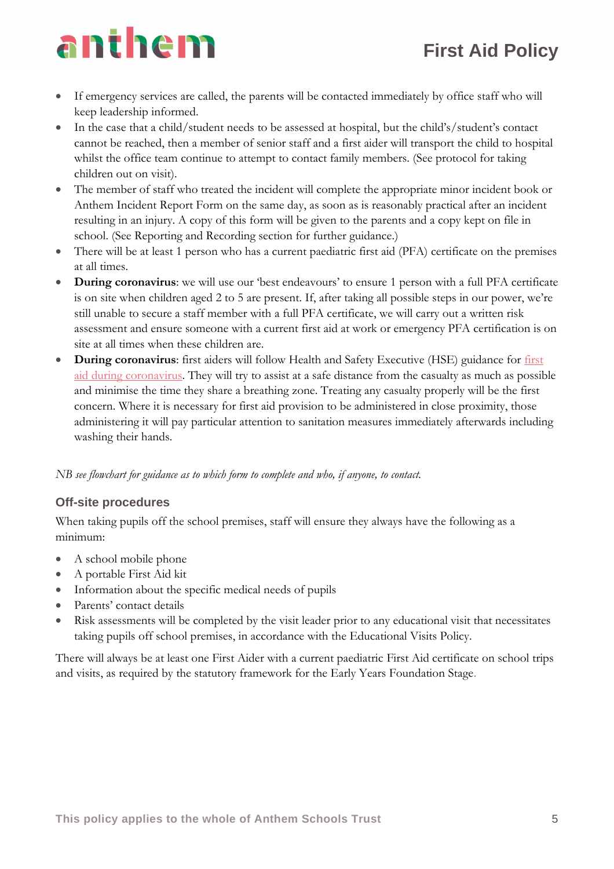- If emergency services are called, the parents will be contacted immediately by office staff who will keep leadership informed.
- In the case that a child/student needs to be assessed at hospital, but the child's/student's contact cannot be reached, then a member of senior staff and a first aider will transport the child to hospital whilst the office team continue to attempt to contact family members. (See protocol for taking children out on visit).
- The member of staff who treated the incident will complete the appropriate minor incident book or Anthem Incident Report Form on the same day, as soon as is reasonably practical after an incident resulting in an injury. A copy of this form will be given to the parents and a copy kept on file in school. (See Reporting and Recording section for further guidance.)
- There will be at least 1 person who has a current paediatric first aid (PFA) certificate on the premises at all times.
- **During coronavirus**: we will use our 'best endeavours' to ensure 1 person with a full PFA certificate is on site when children aged 2 to 5 are present. If, after taking all possible steps in our power, we're still unable to secure a staff member with a full PFA certificate, we will carry out a written risk assessment and ensure someone with a current first aid at work or emergency PFA certification is on site at all times when these children are.
- **During coronavirus**: first aiders will follow Health and Safety Executive (HSE) guidance for [first](https://www.hse.gov.uk/coronavirus/first-aid-and-medicals/first-aid-certificate-coronavirus.htm)  [aid during coronavirus.](https://www.hse.gov.uk/coronavirus/first-aid-and-medicals/first-aid-certificate-coronavirus.htm) They will try to assist at a safe distance from the casualty as much as possible and minimise the time they share a breathing zone. Treating any casualty properly will be the first concern. Where it is necessary for first aid provision to be administered in close proximity, those administering it will pay particular attention to sanitation measures immediately afterwards including washing their hands.

*NB see flowchart for guidance as to which form to complete and who, if anyone, to contact.*

## **Off-site procedures**

When taking pupils off the school premises, staff will ensure they always have the following as a minimum:

- A school mobile phone
- A portable First Aid kit
- Information about the specific medical needs of pupils
- Parents' contact details
- Risk assessments will be completed by the visit leader prior to any educational visit that necessitates taking pupils off school premises, in accordance with the Educational Visits Policy.

There will always be at least one First Aider with a current paediatric First Aid certificate on school trips and visits, as required by the statutory framework for the Early Years Foundation Stage.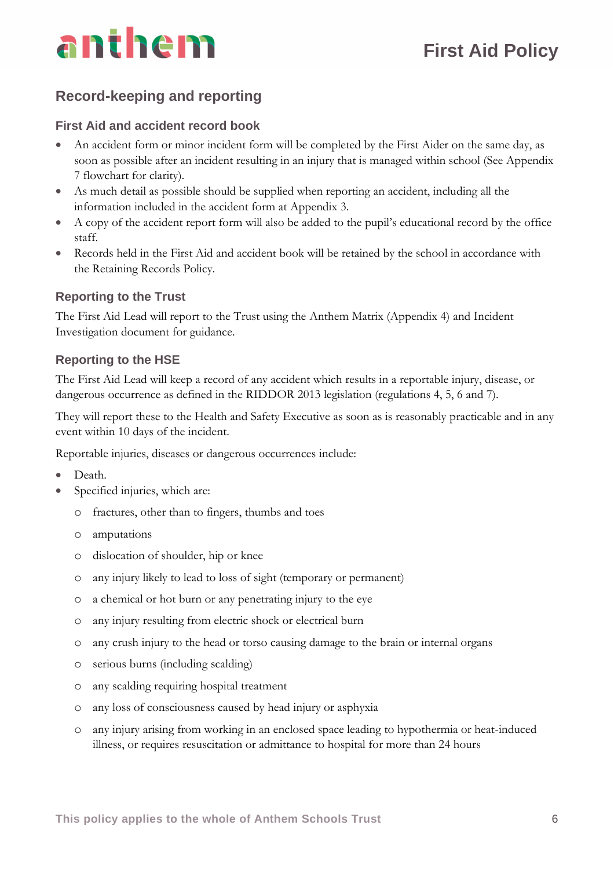# **Record-keeping and reporting**

### **First Aid and accident record book**

- An accident form or minor incident form will be completed by the First Aider on the same day, as soon as possible after an incident resulting in an injury that is managed within school (See Appendix 7 flowchart for clarity).
- As much detail as possible should be supplied when reporting an accident, including all the information included in the accident form at Appendix 3.
- A copy of the accident report form will also be added to the pupil's educational record by the office staff.
- Records held in the First Aid and accident book will be retained by the school in accordance with the Retaining Records Policy.

## **Reporting to the Trust**

The First Aid Lead will report to the Trust using the Anthem Matrix (Appendix 4) and Incident Investigation document for guidance.

### **Reporting to the HSE**

The First Aid Lead will keep a record of any accident which results in a reportable injury, disease, or dangerous occurrence as defined in the RIDDOR 2013 legislation (regulations 4, 5, 6 and 7).

They will report these to the Health and Safety Executive as soon as is reasonably practicable and in any event within 10 days of the incident.

Reportable injuries, diseases or dangerous occurrences include:

- Death.
- Specified injuries, which are:
	- o fractures, other than to fingers, thumbs and toes
	- o amputations
	- o dislocation of shoulder, hip or knee
	- o any injury likely to lead to loss of sight (temporary or permanent)
	- o a chemical or hot burn or any penetrating injury to the eye
	- o any injury resulting from electric shock or electrical burn
	- o any crush injury to the head or torso causing damage to the brain or internal organs
	- o serious burns (including scalding)
	- o any scalding requiring hospital treatment
	- o any loss of consciousness caused by head injury or asphyxia
	- o any injury arising from working in an enclosed space leading to hypothermia or heat-induced illness, or requires resuscitation or admittance to hospital for more than 24 hours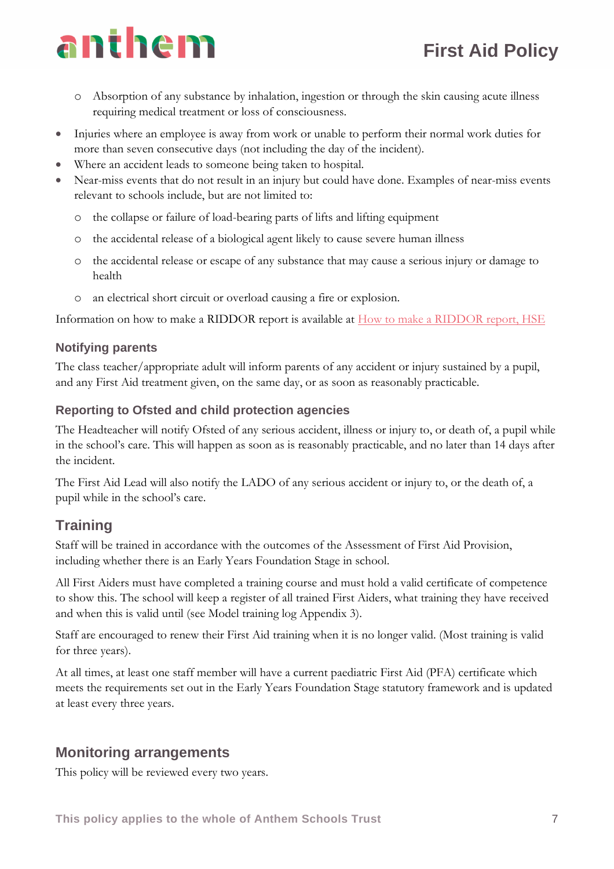- o Absorption of any substance by inhalation, ingestion or through the skin causing acute illness requiring medical treatment or loss of consciousness.
- Injuries where an employee is away from work or unable to perform their normal work duties for more than seven consecutive days (not including the day of the incident).
- Where an accident leads to someone being taken to hospital.
- Near-miss events that do not result in an injury but could have done. Examples of near-miss events relevant to schools include, but are not limited to:
	- o the collapse or failure of load-bearing parts of lifts and lifting equipment
	- o the accidental release of a biological agent likely to cause severe human illness
	- o the accidental release or escape of any substance that may cause a serious injury or damage to health
	- o an electrical short circuit or overload causing a fire or explosion.

Information on how to make a RIDDOR report is available at **How** to make a RIDDOR report, HSE

# **Notifying parents**

The class teacher/appropriate adult will inform parents of any accident or injury sustained by a pupil, and any First Aid treatment given, on the same day, or as soon as reasonably practicable.

# **Reporting to Ofsted and child protection agencies**

The Headteacher will notify Ofsted of any serious accident, illness or injury to, or death of, a pupil while in the school's care. This will happen as soon as is reasonably practicable, and no later than 14 days after the incident.

The First Aid Lead will also notify the LADO of any serious accident or injury to, or the death of, a pupil while in the school's care.

# **Training**

Staff will be trained in accordance with the outcomes of the Assessment of First Aid Provision, including whether there is an Early Years Foundation Stage in school.

All First Aiders must have completed a training course and must hold a valid certificate of competence to show this. The school will keep a register of all trained First Aiders, what training they have received and when this is valid until (see Model training log Appendix 3).

Staff are encouraged to renew their First Aid training when it is no longer valid. (Most training is valid for three years).

At all times, at least one staff member will have a current paediatric First Aid (PFA) certificate which meets the requirements set out in the Early Years Foundation Stage statutory framework and is updated at least every three years.

# **Monitoring arrangements**

This policy will be reviewed every two years.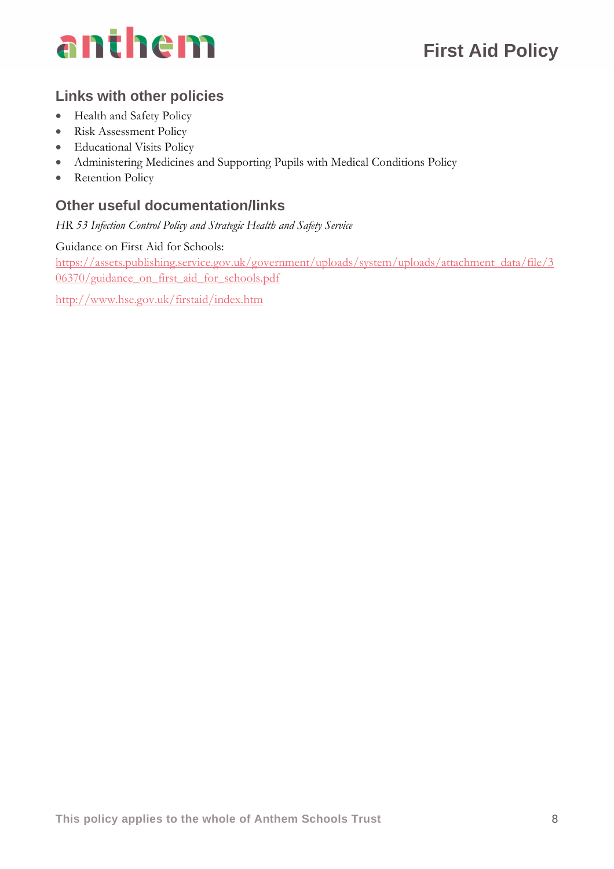

# **Links with other policies**

- Health and Safety Policy
- Risk Assessment Policy
- Educational Visits Policy
- Administering Medicines and Supporting Pupils with Medical Conditions Policy
- Retention Policy

# **Other useful documentation/links**

*HR 53 Infection Control Policy and Strategic Health and Safety Service*

Guidance on First Aid for Schools:

[https://assets.publishing.service.gov.uk/government/uploads/system/uploads/attachment\\_data/file/3](https://assets.publishing.service.gov.uk/government/uploads/system/uploads/attachment_data/file/306370/guidance_on_first_aid_for_schools.pdf) [06370/guidance\\_on\\_first\\_aid\\_for\\_schools.pdf](https://assets.publishing.service.gov.uk/government/uploads/system/uploads/attachment_data/file/306370/guidance_on_first_aid_for_schools.pdf)

<http://www.hse.gov.uk/firstaid/index.htm>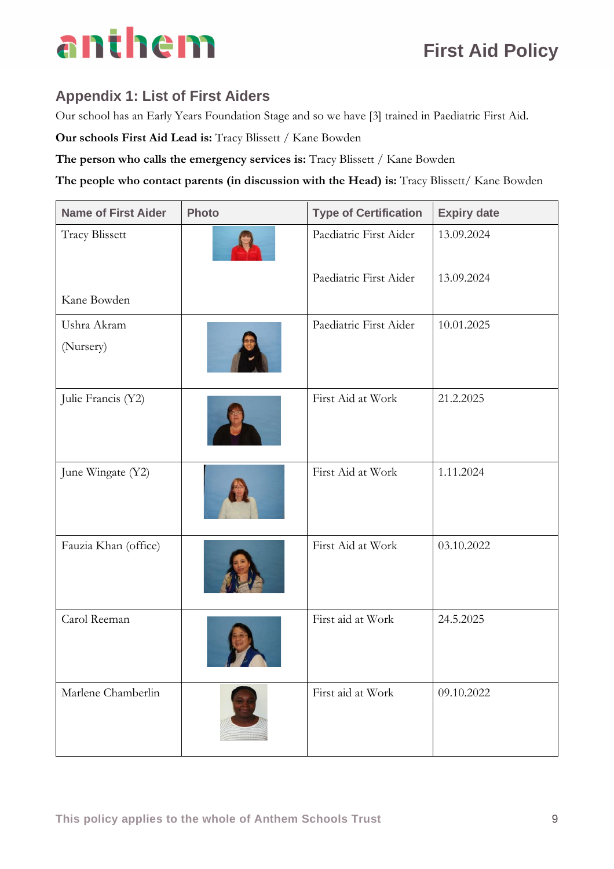# **Appendix 1: List of First Aiders**

Our school has an Early Years Foundation Stage and so we have [3] trained in Paediatric First Aid.

**Our schools First Aid Lead is:** Tracy Blissett / Kane Bowden

**The person who calls the emergency services is:** Tracy Blissett / Kane Bowden

**The people who contact parents (in discussion with the Head) is:** Tracy Blissett/ Kane Bowden

| <b>Name of First Aider</b><br><b>Photo</b> |  | <b>Type of Certification</b> | <b>Expiry date</b> |
|--------------------------------------------|--|------------------------------|--------------------|
| <b>Tracy Blissett</b>                      |  | Paediatric First Aider       | 13.09.2024         |
|                                            |  | Paediatric First Aider       | 13.09.2024         |
| Kane Bowden                                |  |                              |                    |
| Ushra Akram<br>(Nursery)                   |  | Paediatric First Aider       | 10.01.2025         |
| Julie Francis (Y2)                         |  | First Aid at Work            | 21.2.2025          |
| June Wingate (Y2)                          |  | First Aid at Work            | 1.11.2024          |
| Fauzia Khan (office)                       |  | First Aid at Work            | 03.10.2022         |
| Carol Reeman                               |  | First aid at Work            | 24.5.2025          |
| Marlene Chamberlin                         |  | First aid at Work            | 09.10.2022         |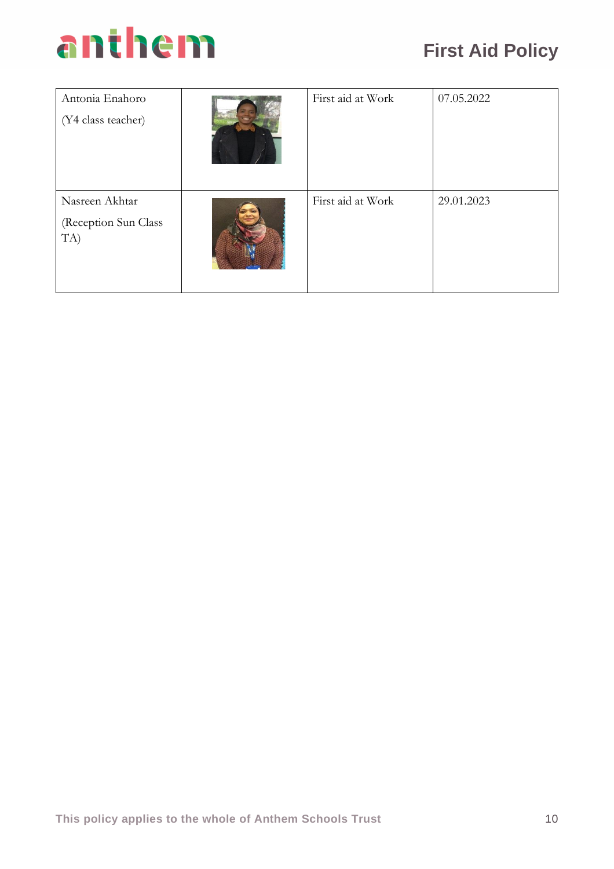| Antonia Enahoro<br>(Y4 class teacher)         | First aid at Work | 07.05.2022 |
|-----------------------------------------------|-------------------|------------|
| Nasreen Akhtar<br>(Reception Sun Class<br>TA) | First aid at Work | 29.01.2023 |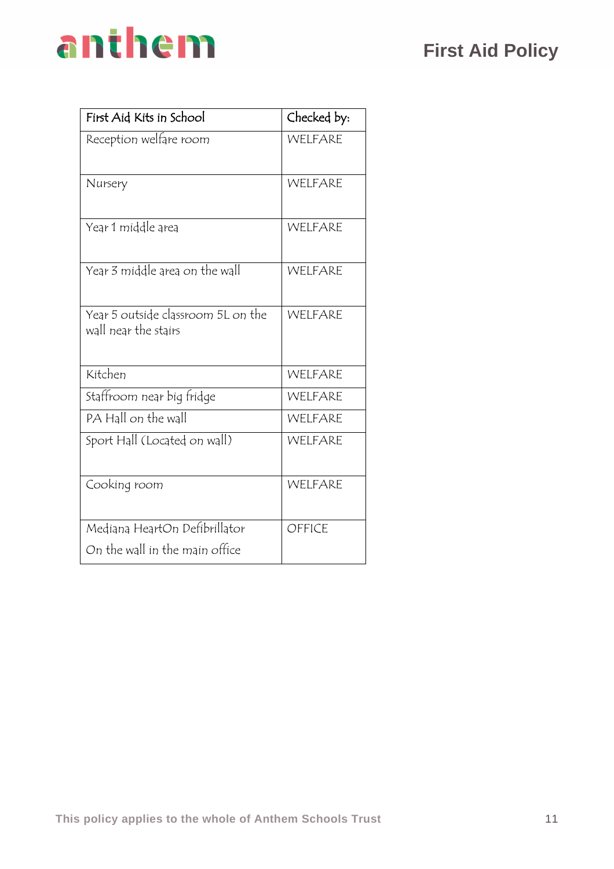# **First Aid Policy**

# anthem

| First Aid Kits in School                                        | Checked by: |
|-----------------------------------------------------------------|-------------|
| Reception welfare room                                          | WELFARE     |
| Nursery                                                         | WELFARE     |
| Year 1 middle area                                              | WELFARE     |
| Year 3 middle area on the wall                                  | WELFARE     |
| Year 5 outside classroom 5L on the<br>wall near the stairs      | WELFARE     |
| Kitchen                                                         | WELFARE     |
| Staffroom near big fridge                                       | WELFARE     |
| PA Hall on the wall                                             | WELFARE     |
| Sport Hall (Located on wall)                                    | WELFARE     |
| Cooking room                                                    | WELFARE     |
| Mediana HeartOn Defibrillator<br>On the wall in the main office | OFFICE      |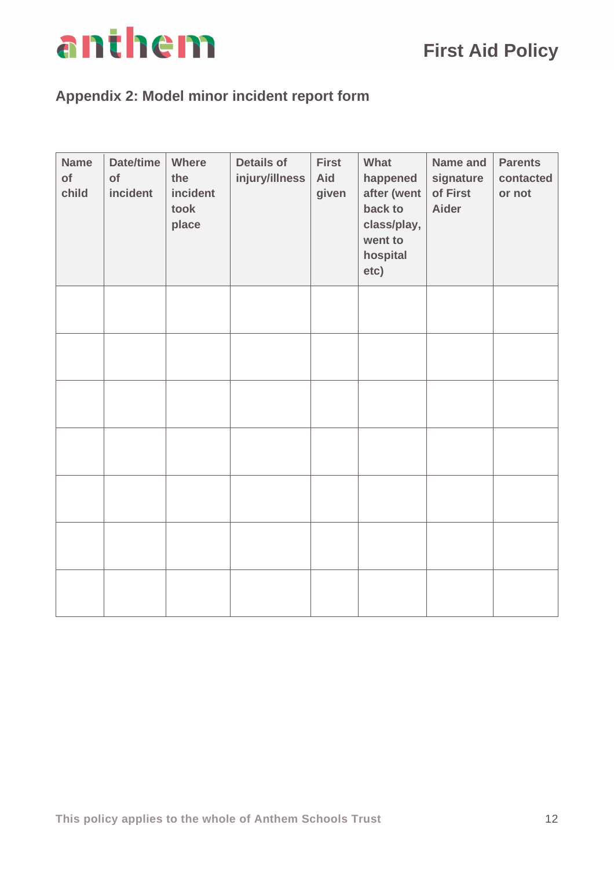

# **Appendix 2: Model minor incident report form**

| <b>Name</b><br>of<br>child | Date/time<br>of<br>incident | Where<br>the<br>incident<br>took<br>place | <b>Details of</b><br>injury/illness | <b>First</b><br>Aid<br>given | What<br>happened<br>after (went<br>back to<br>class/play,<br>went to<br>hospital<br>etc) | Name and<br>signature<br>of First<br><b>Aider</b> | <b>Parents</b><br>contacted<br>or not |
|----------------------------|-----------------------------|-------------------------------------------|-------------------------------------|------------------------------|------------------------------------------------------------------------------------------|---------------------------------------------------|---------------------------------------|
|                            |                             |                                           |                                     |                              |                                                                                          |                                                   |                                       |
|                            |                             |                                           |                                     |                              |                                                                                          |                                                   |                                       |
|                            |                             |                                           |                                     |                              |                                                                                          |                                                   |                                       |
|                            |                             |                                           |                                     |                              |                                                                                          |                                                   |                                       |
|                            |                             |                                           |                                     |                              |                                                                                          |                                                   |                                       |
|                            |                             |                                           |                                     |                              |                                                                                          |                                                   |                                       |
|                            |                             |                                           |                                     |                              |                                                                                          |                                                   |                                       |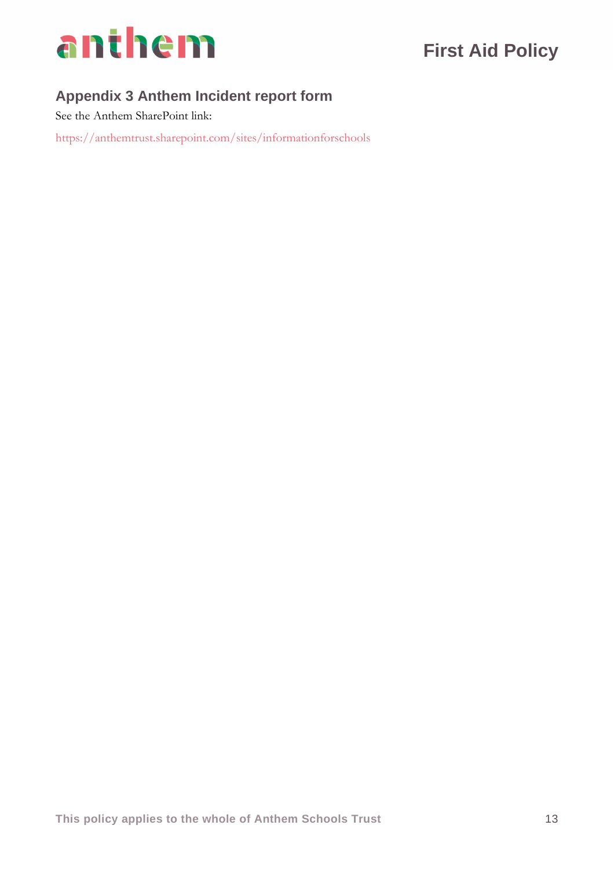

# **Appendix 3 Anthem Incident report form**

See the Anthem SharePoint link:

https://anthemtrust.sharepoint.com/sites/informationforschools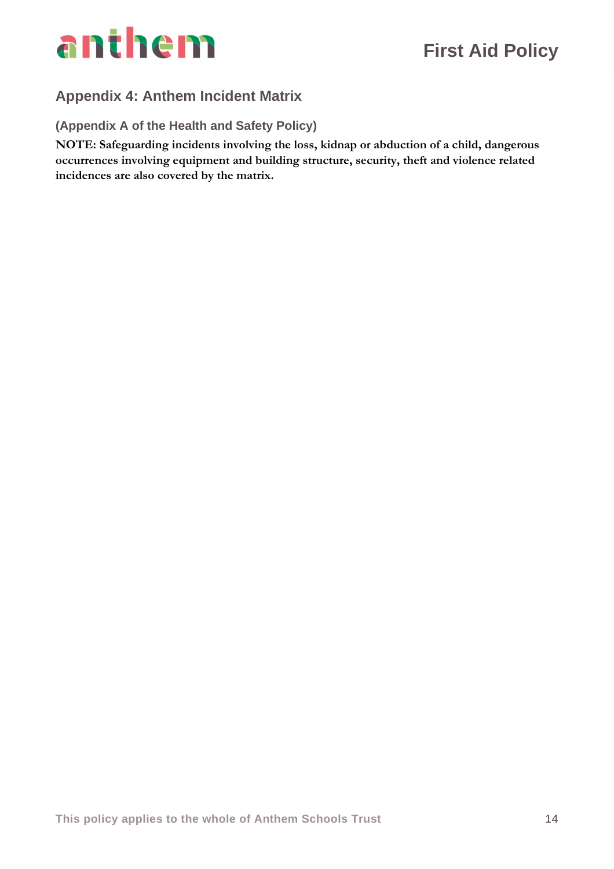

# **Appendix 4: Anthem Incident Matrix**

**(Appendix A of the Health and Safety Policy)**

**NOTE: Safeguarding incidents involving the loss, kidnap or abduction of a child, dangerous occurrences involving equipment and building structure, security, theft and violence related incidences are also covered by the matrix.**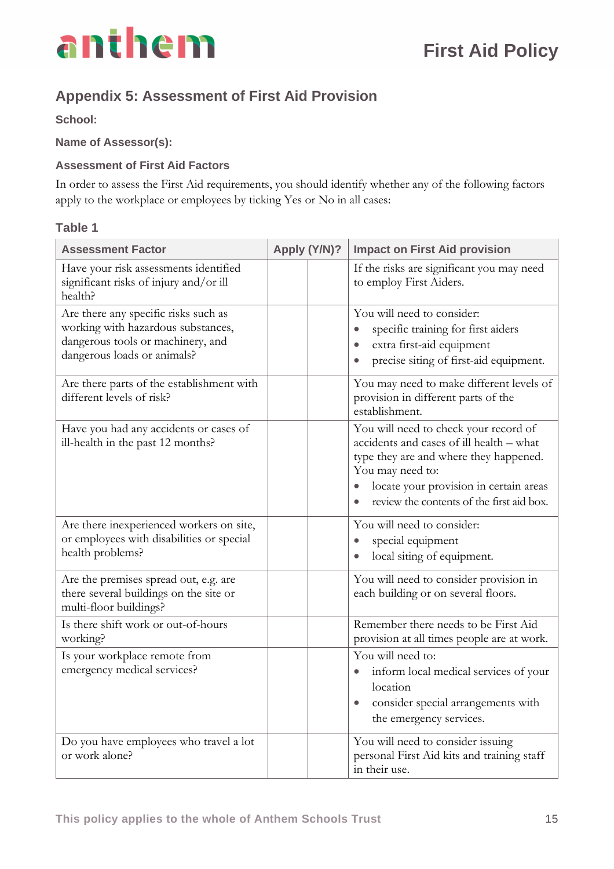

# **Appendix 5: Assessment of First Aid Provision**

**School:** 

**Name of Assessor(s):** 

#### **Assessment of First Aid Factors**

In order to assess the First Aid requirements, you should identify whether any of the following factors apply to the workplace or employees by ticking Yes or No in all cases:

#### **Table 1**

| <b>Assessment Factor</b>                                                                                                                       | Apply (Y/N)? |  | <b>Impact on First Aid provision</b>                                                                                                                                                                                                   |  |
|------------------------------------------------------------------------------------------------------------------------------------------------|--------------|--|----------------------------------------------------------------------------------------------------------------------------------------------------------------------------------------------------------------------------------------|--|
| Have your risk assessments identified<br>significant risks of injury and/or ill<br>health?                                                     |              |  | If the risks are significant you may need<br>to employ First Aiders.                                                                                                                                                                   |  |
| Are there any specific risks such as<br>working with hazardous substances,<br>dangerous tools or machinery, and<br>dangerous loads or animals? |              |  | You will need to consider:<br>specific training for first aiders<br>extra first-aid equipment<br>precise siting of first-aid equipment.                                                                                                |  |
| Are there parts of the establishment with<br>different levels of risk?                                                                         |              |  | You may need to make different levels of<br>provision in different parts of the<br>establishment.                                                                                                                                      |  |
| Have you had any accidents or cases of<br>ill-health in the past 12 months?                                                                    |              |  | You will need to check your record of<br>accidents and cases of ill health - what<br>type they are and where they happened.<br>You may need to:<br>locate your provision in certain areas<br>review the contents of the first aid box. |  |
| Are there inexperienced workers on site,<br>or employees with disabilities or special<br>health problems?                                      |              |  | You will need to consider:<br>special equipment<br>$\bullet$<br>local siting of equipment.                                                                                                                                             |  |
| Are the premises spread out, e.g. are<br>there several buildings on the site or<br>multi-floor buildings?                                      |              |  | You will need to consider provision in<br>each building or on several floors.                                                                                                                                                          |  |
| Is there shift work or out-of-hours<br>working?                                                                                                |              |  | Remember there needs to be First Aid<br>provision at all times people are at work.                                                                                                                                                     |  |
| Is your workplace remote from<br>emergency medical services?                                                                                   |              |  | You will need to:<br>inform local medical services of your<br>$\bullet$<br>location<br>consider special arrangements with<br>the emergency services.                                                                                   |  |
| Do you have employees who travel a lot<br>or work alone?                                                                                       |              |  | You will need to consider issuing<br>personal First Aid kits and training staff<br>in their use.                                                                                                                                       |  |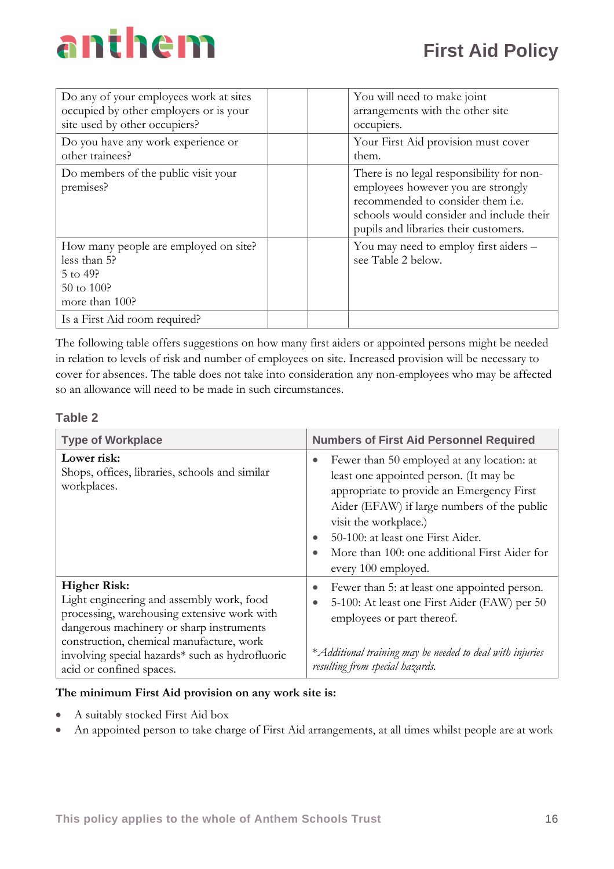| Do any of your employees work at sites<br>occupied by other employers or is your<br>site used by other occupiers? |  | You will need to make joint<br>arrangements with the other site<br>occupiers.                                                                                                                             |
|-------------------------------------------------------------------------------------------------------------------|--|-----------------------------------------------------------------------------------------------------------------------------------------------------------------------------------------------------------|
| Do you have any work experience or<br>other trainees?                                                             |  | Your First Aid provision must cover<br>them.                                                                                                                                                              |
| Do members of the public visit your<br>premises?                                                                  |  | There is no legal responsibility for non-<br>employees however you are strongly<br>recommended to consider them i.e.<br>schools would consider and include their<br>pupils and libraries their customers. |
| How many people are employed on site?<br>less than 5?<br>$5$ to 49?<br>$50 \text{ to } 100?$<br>more than 100?    |  | You may need to employ first aiders -<br>see Table 2 below.                                                                                                                                               |
| Is a First Aid room required?                                                                                     |  |                                                                                                                                                                                                           |

The following table offers suggestions on how many first aiders or appointed persons might be needed in relation to levels of risk and number of employees on site. Increased provision will be necessary to cover for absences. The table does not take into consideration any non-employees who may be affected so an allowance will need to be made in such circumstances.

#### **Table 2**

| <b>Type of Workplace</b>                                                                                                                                                                                                                                                               | <b>Numbers of First Aid Personnel Required</b>                                                                                                                                                                                                                                                                                                   |
|----------------------------------------------------------------------------------------------------------------------------------------------------------------------------------------------------------------------------------------------------------------------------------------|--------------------------------------------------------------------------------------------------------------------------------------------------------------------------------------------------------------------------------------------------------------------------------------------------------------------------------------------------|
| Lower risk:<br>Shops, offices, libraries, schools and similar<br>workplaces.                                                                                                                                                                                                           | Fewer than 50 employed at any location: at<br>$\bullet$<br>least one appointed person. (It may be<br>appropriate to provide an Emergency First<br>Aider (EFAW) if large numbers of the public<br>visit the workplace.)<br>50-100: at least one First Aider.<br>More than 100: one additional First Aider for<br>$\bullet$<br>every 100 employed. |
| <b>Higher Risk:</b><br>Light engineering and assembly work, food<br>processing, warehousing extensive work with<br>dangerous machinery or sharp instruments<br>construction, chemical manufacture, work<br>involving special hazards* such as hydrofluoric<br>acid or confined spaces. | Fewer than 5: at least one appointed person.<br>$\bullet$<br>5-100: At least one First Aider (FAW) per 50<br>$\bullet$<br>employees or part thereof.<br>* Additional training may be needed to deal with injuries<br>resulting from special hazards.                                                                                             |

#### **The minimum First Aid provision on any work site is:**

- A suitably stocked First Aid box
- An appointed person to take charge of First Aid arrangements, at all times whilst people are at work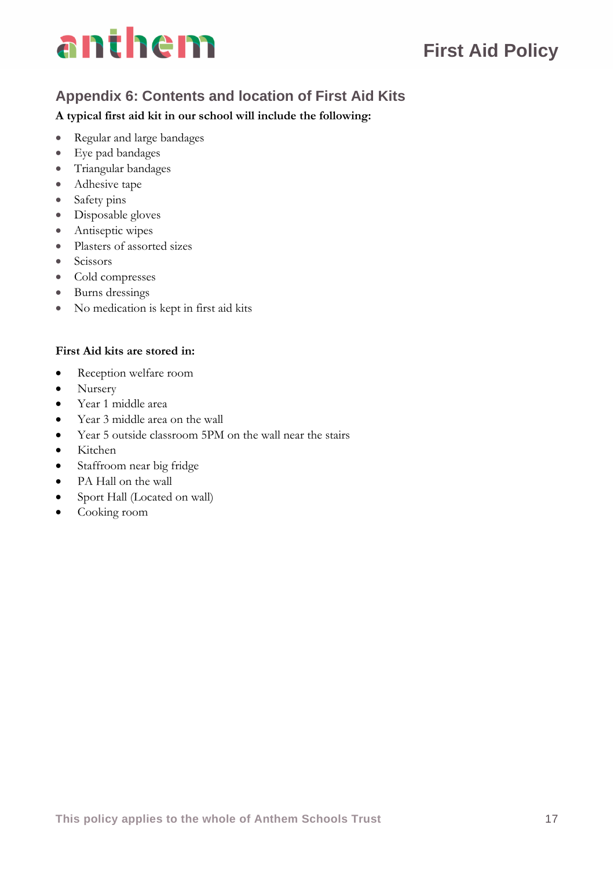# **First Aid Policy**

# **Appendix 6: Contents and location of First Aid Kits**

### **A typical first aid kit in our school will include the following:**

- Regular and large bandages
- Eye pad bandages
- Triangular bandages
- Adhesive tape
- Safety pins
- Disposable gloves
- Antiseptic wipes
- Plasters of assorted sizes
- Scissors
- Cold compresses
- Burns dressings
- No medication is kept in first aid kits

### **First Aid kits are stored in:**

- Reception welfare room
- Nursery
- Year 1 middle area
- Year 3 middle area on the wall
- Year 5 outside classroom 5PM on the wall near the stairs
- Kitchen
- Staffroom near big fridge
- PA Hall on the wall
- Sport Hall (Located on wall)
- Cooking room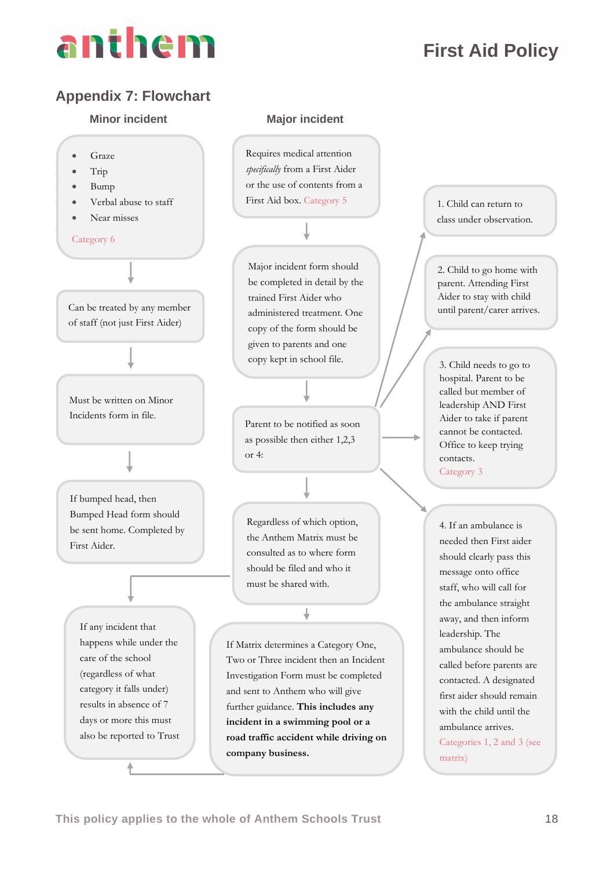# **First Aid Policy**

# **Appendix 7: Flowchart**

#### **Minor incident Major incident**



Requires medical attention *specifically* from a First Aider or the use of contents from a First Aid box. Category 5

# Major incident form should be completed in detail by the trained First Aider who administered treatment. One copy of the form should be given to parents and one copy kept in school file.

Parent to be notified as soon as possible then either 1,2,3 or 4:

Regardless of which option, the Anthem Matrix must be consulted as to where form should be filed and who it must be shared with.

↓

If Matrix determines a Category One, Two or Three incident then an Incident Investigation Form must be completed and sent to Anthem who will give further guidance. **This includes any incident in a swimming pool or a road traffic accident while driving on company business.**

1. Child can return to class under observation.

2. Child to go home with parent. Attending First Aider to stay with child until parent/carer arrives.

3. Child needs to go to hospital. Parent to be called but member of leadership AND First Aider to take if parent cannot be contacted. Office to keep trying contacts. Category 3

4. If an ambulance is needed then First aider should clearly pass this message onto office staff, who will call for the ambulance straight away, and then inform leadership. The ambulance should be called before parents are contacted. A designated first aider should remain with the child until the ambulance arrives. Categories 1, 2 and 3 (see matrix)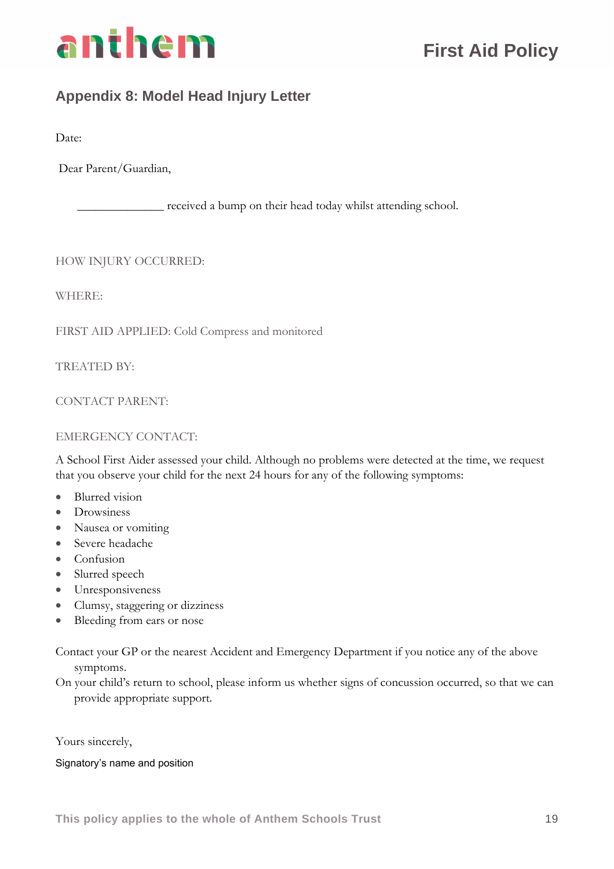

# **Appendix 8: Model Head Injury Letter**

Date:

Dear Parent/Guardian,

\_\_\_\_\_\_\_\_\_\_\_\_\_\_ received a bump on their head today whilst attending school.

HOW INJURY OCCURRED:

WHERE:

FIRST AID APPLIED: Cold Compress and monitored

TREATED BY:

CONTACT PARENT:

#### EMERGENCY CONTACT:

A School First Aider assessed your child. Although no problems were detected at the time, we request that you observe your child for the next 24 hours for any of the following symptoms:

- Blurred vision
- Drowsiness
- Nausea or vomiting
- Severe headache
- Confusion
- Slurred speech
- Unresponsiveness
- Clumsy, staggering or dizziness
- Bleeding from ears or nose

Contact your GP or the nearest Accident and Emergency Department if you notice any of the above symptoms.

On your child's return to school, please inform us whether signs of concussion occurred, so that we can provide appropriate support.

Yours sincerely,

#### Signatory's name and position